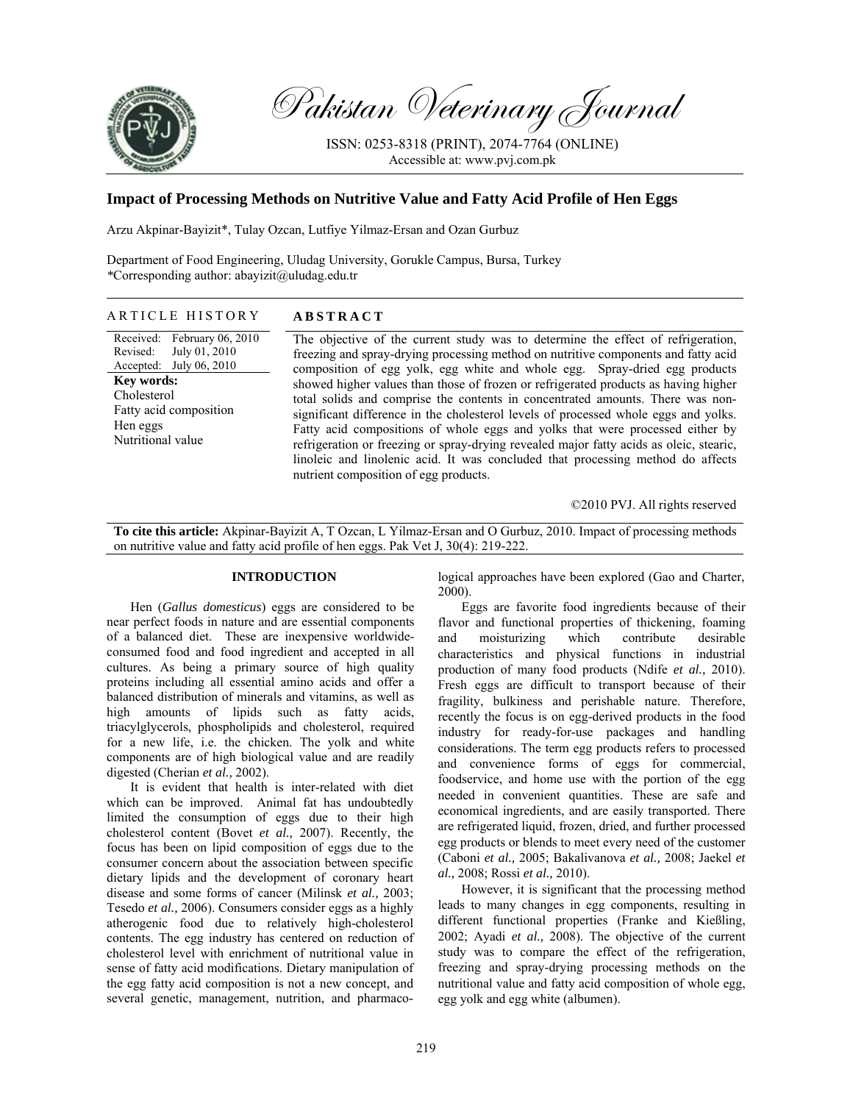

Pakistan Veterinary Journal

ISSN: 0253-8318 (PRINT), 2074-7764 (ONLINE) Accessible at: www.pvj.com.pk

# **Impact of Processing Methods on Nutritive Value and Fatty Acid Profile of Hen Eggs**

Arzu Akpinar-Bayizit\*, Tulay Ozcan, Lutfiye Yilmaz-Ersan and Ozan Gurbuz

Department of Food Engineering, Uludag University, Gorukle Campus, Bursa, Turkey *\**Corresponding author: abayizit@uludag.edu.tr

# ARTICLE HISTORY **ABSTRACT**

Received: Revised: Accepted: February 06, 2010 July 01, 2010 July 06, 2010 **Key words:**  Cholesterol Fatty acid composition Hen eggs Nutritional value

The objective of the current study was to determine the effect of refrigeration, freezing and spray-drying processing method on nutritive components and fatty acid composition of egg yolk, egg white and whole egg. Spray-dried egg products showed higher values than those of frozen or refrigerated products as having higher total solids and comprise the contents in concentrated amounts. There was nonsignificant difference in the cholesterol levels of processed whole eggs and yolks. Fatty acid compositions of whole eggs and yolks that were processed either by refrigeration or freezing or spray-drying revealed major fatty acids as oleic, stearic, linoleic and linolenic acid. It was concluded that processing method do affects nutrient composition of egg products.

©2010 PVJ. All rights reserved

**To cite this article:** Akpinar-Bayizit A, T Ozcan, L Yilmaz-Ersan and O Gurbuz, 2010. Impact of processing methods on nutritive value and fatty acid profile of hen eggs. Pak Vet J, 30(4): 219-222.

### **INTRODUCTION**

Hen (*Gallus domesticus*) eggs are considered to be near perfect foods in nature and are essential components of a balanced diet. These are inexpensive worldwideconsumed food and food ingredient and accepted in all cultures. As being a primary source of high quality proteins including all essential amino acids and offer a balanced distribution of minerals and vitamins, as well as high amounts of lipids such as fatty acids, triacylglycerols, phospholipids and cholesterol, required for a new life, i.e. the chicken. The yolk and white components are of high biological value and are readily digested (Cherian *et al.,* 2002).

It is evident that health is inter-related with diet which can be improved. Animal fat has undoubtedly limited the consumption of eggs due to their high cholesterol content (Bovet *et al.,* 2007). Recently, the focus has been on lipid composition of eggs due to the consumer concern about the association between specific dietary lipids and the development of coronary heart disease and some forms of cancer (Milinsk *et al.,* 2003; Tesedo *et al.,* 2006). Consumers consider eggs as a highly atherogenic food due to relatively high-cholesterol contents. The egg industry has centered on reduction of cholesterol level with enrichment of nutritional value in sense of fatty acid modifications. Dietary manipulation of the egg fatty acid composition is not a new concept, and several genetic, management, nutrition, and pharmacological approaches have been explored (Gao and Charter, 2000).

Eggs are favorite food ingredients because of their flavor and functional properties of thickening, foaming and moisturizing which contribute desirable characteristics and physical functions in industrial production of many food products (Ndife *et al.,* 2010). Fresh eggs are difficult to transport because of their fragility, bulkiness and perishable nature. Therefore, recently the focus is on egg-derived products in the food industry for ready-for-use packages and handling considerations. The term egg products refers to processed and convenience forms of eggs for commercial, foodservice, and home use with the portion of the egg needed in convenient quantities. These are safe and economical ingredients, and are easily transported. There are refrigerated liquid, frozen, dried, and further processed egg products or blends to meet every need of the customer (Caboni *et al.,* 2005; Bakalivanova *et al.,* 2008; Jaekel *et al.,* 2008; Rossi *et al.,* 2010).

However, it is significant that the processing method leads to many changes in egg components, resulting in different functional properties (Franke and Kießling, 2002; Ayadi *et al.,* 2008). The objective of the current study was to compare the effect of the refrigeration, freezing and spray-drying processing methods on the nutritional value and fatty acid composition of whole egg, egg yolk and egg white (albumen).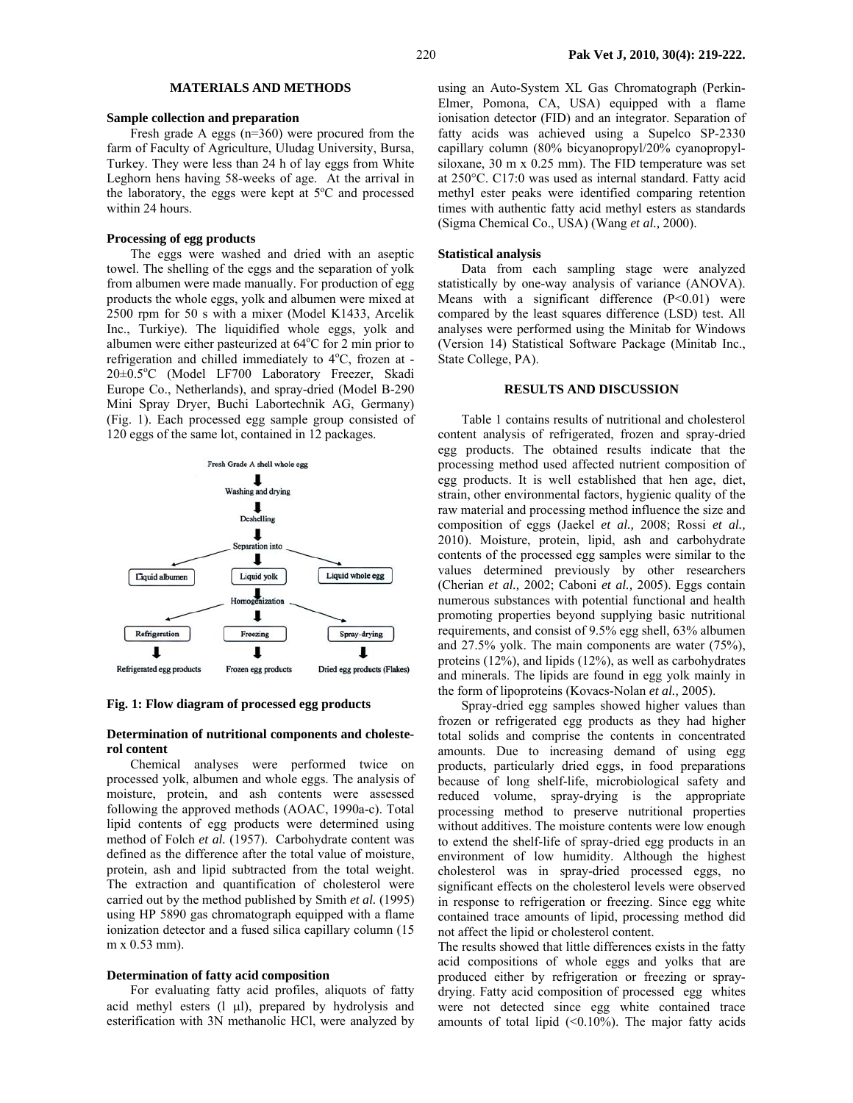# **MATERIALS AND METHODS**

#### **Sample collection and preparation**

Fresh grade A eggs (n=360) were procured from the farm of Faculty of Agriculture, Uludag University, Bursa, Turkey. They were less than 24 h of lay eggs from White Leghorn hens having 58-weeks of age. At the arrival in the laboratory, the eggs were kept at  $5^{\circ}$ C and processed within 24 hours.

### **Processing of egg products**

The eggs were washed and dried with an aseptic towel. The shelling of the eggs and the separation of yolk from albumen were made manually. For production of egg products the whole eggs, yolk and albumen were mixed at 2500 rpm for 50 s with a mixer (Model K1433, Arcelik Inc., Turkiye). The liquidified whole eggs, yolk and albumen were either pasteurized at 64°C for 2 min prior to refrigeration and chilled immediately to 4°C, frozen at -20±0.5°C (Model LF700 Laboratory Freezer, Skadi Europe Co., Netherlands), and spray-dried (Model B-290 Mini Spray Dryer, Buchi Labortechnik AG, Germany) (Fig. 1). Each processed egg sample group consisted of 120 eggs of the same lot, contained in 12 packages.



**Fig. 1: Flow diagram of processed egg products** 

### **Determination of nutritional components and cholesterol content**

Chemical analyses were performed twice on processed yolk, albumen and whole eggs. The analysis of moisture, protein, and ash contents were assessed following the approved methods (AOAC, 1990a-c). Total lipid contents of egg products were determined using method of Folch *et al.* (1957). Carbohydrate content was defined as the difference after the total value of moisture, protein, ash and lipid subtracted from the total weight. The extraction and quantification of cholesterol were carried out by the method published by Smith *et al.* (1995) using HP 5890 gas chromatograph equipped with a flame ionization detector and a fused silica capillary column (15 m x 0.53 mm).

### **Determination of fatty acid composition**

For evaluating fatty acid profiles, aliquots of fatty acid methyl esters  $(1 \mu l)$ , prepared by hydrolysis and esterification with 3N methanolic HCl, were analyzed by using an Auto-System XL Gas Chromatograph (Perkin-Elmer, Pomona, CA, USA) equipped with a flame ionisation detector (FID) and an integrator. Separation of fatty acids was achieved using a Supelco SP-2330 capillary column (80% bicyanopropyl/20% cyanopropylsiloxane, 30 m x 0.25 mm). The FID temperature was set at 250°C. C17:0 was used as internal standard. Fatty acid methyl ester peaks were identified comparing retention times with authentic fatty acid methyl esters as standards (Sigma Chemical Co., USA) (Wang *et al.,* 2000).

#### **Statistical analysis**

Data from each sampling stage were analyzed statistically by one-way analysis of variance (ANOVA). Means with a significant difference (P<0.01) were compared by the least squares difference (LSD) test. All analyses were performed using the Minitab for Windows (Version 14) Statistical Software Package (Minitab Inc., State College, PA).

# **RESULTS AND DISCUSSION**

Table 1 contains results of nutritional and cholesterol content analysis of refrigerated, frozen and spray-dried egg products. The obtained results indicate that the processing method used affected nutrient composition of egg products. It is well established that hen age, diet, strain, other environmental factors, hygienic quality of the raw material and processing method influence the size and composition of eggs (Jaekel *et al.,* 2008; Rossi *et al.,* 2010). Moisture, protein, lipid, ash and carbohydrate contents of the processed egg samples were similar to the values determined previously by other researchers (Cherian *et al.,* 2002; Caboni *et al.,* 2005). Eggs contain numerous substances with potential functional and health promoting properties beyond supplying basic nutritional requirements, and consist of 9.5% egg shell, 63% albumen and 27.5% yolk. The main components are water (75%), proteins (12%), and lipids (12%), as well as carbohydrates and minerals. The lipids are found in egg yolk mainly in the form of lipoproteins (Kovacs-Nolan *et al.,* 2005).

Spray-dried egg samples showed higher values than frozen or refrigerated egg products as they had higher total solids and comprise the contents in concentrated amounts. Due to increasing demand of using egg products, particularly dried eggs, in food preparations because of long shelf-life, microbiological safety and reduced volume, spray-drying is the appropriate processing method to preserve nutritional properties without additives. The moisture contents were low enough to extend the shelf-life of spray-dried egg products in an environment of low humidity. Although the highest cholesterol was in spray-dried processed eggs, no significant effects on the cholesterol levels were observed in response to refrigeration or freezing. Since egg white contained trace amounts of lipid, processing method did not affect the lipid or cholesterol content.

The results showed that little differences exists in the fatty acid compositions of whole eggs and yolks that are produced either by refrigeration or freezing or spraydrying. Fatty acid composition of processed egg whites were not detected since egg white contained trace amounts of total lipid  $(\leq 0.10\%)$ . The major fatty acids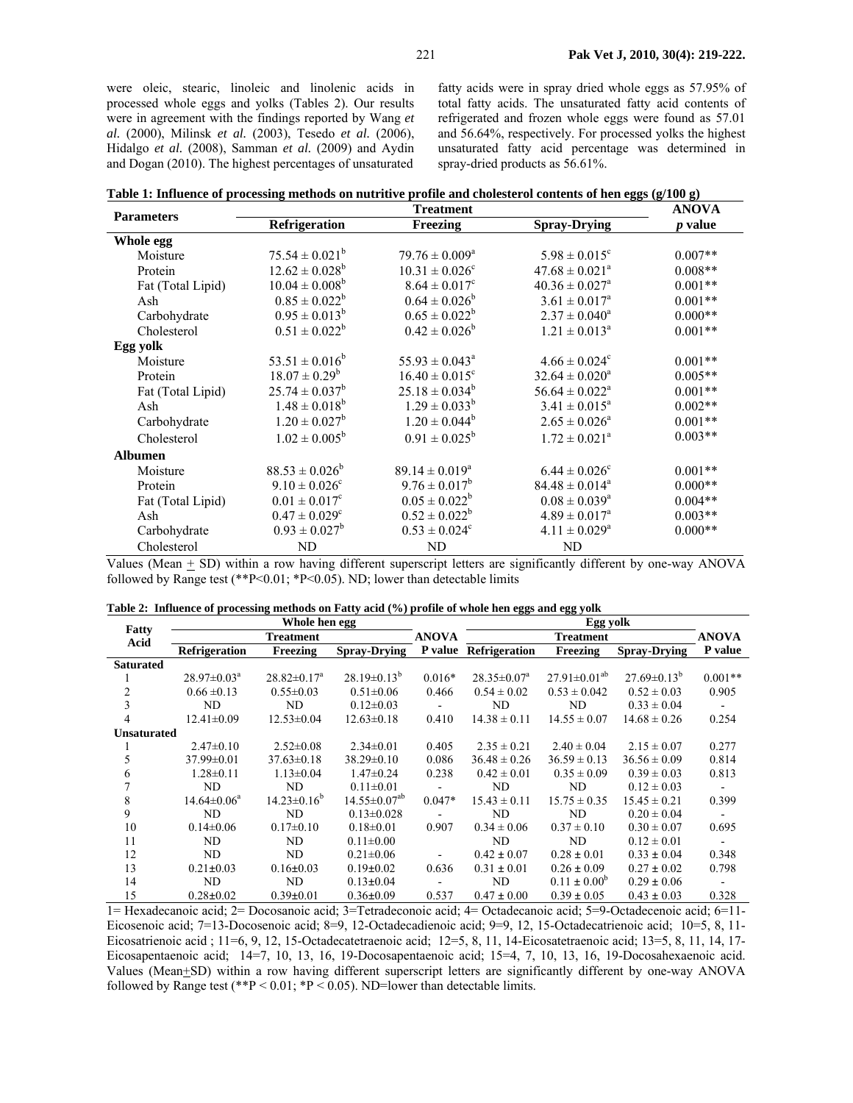were oleic, stearic, linoleic and linolenic acids in processed whole eggs and yolks (Tables 2). Our results were in agreement with the findings reported by Wang *et al.* (2000), Milinsk *et al.* (2003), Tesedo *et al.* (2006), Hidalgo *et al.* (2008), Samman *et al.* (2009) and Aydin and Dogan (2010). The highest percentages of unsaturated

fatty acids were in spray dried whole eggs as 57.95% of total fatty acids. The unsaturated fatty acid contents of refrigerated and frozen whole eggs were found as 57.01 and 56.64%, respectively. For processed yolks the highest unsaturated fatty acid percentage was determined in spray-dried products as 56.61%.

| Table 1: Influence of processing methods on nutritive profile and cholesterol contents of hen eggs (g/100 g) |  |
|--------------------------------------------------------------------------------------------------------------|--|
|                                                                                                              |  |

|                   |                               | <b>ANOVA</b>                   |                                |                |
|-------------------|-------------------------------|--------------------------------|--------------------------------|----------------|
| <b>Parameters</b> | <b>Refrigeration</b>          | Freezing                       | <b>Spray-Drying</b>            | <i>p</i> value |
| Whole egg         |                               |                                |                                |                |
| Moisture          | $75.54 \pm 0.021^b$           | $79.76 \pm 0.009^a$            | $5.98 \pm 0.015^c$             | $0.007**$      |
| Protein           | $12.62 \pm 0.028^b$           | $10.31 \pm 0.026$ <sup>c</sup> | $47.68 \pm 0.021^{\circ}$      | $0.008**$      |
| Fat (Total Lipid) | $10.04 \pm 0.008^b$           | $8.64 \pm 0.017^c$             | $40.36 \pm 0.027$ <sup>a</sup> | $0.001**$      |
| Ash               | $0.85 \pm 0.022^b$            | $0.64 \pm 0.026^b$             | $3.61 \pm 0.017^a$             | $0.001**$      |
| Carbohydrate      | $0.95 \pm 0.013^b$            | $0.65 \pm 0.022^b$             | $2.37 \pm 0.040^a$             | $0.000**$      |
| Cholesterol       | $0.51 \pm 0.022^b$            | $0.42 \pm 0.026^b$             | $1.21 \pm 0.013^a$             | $0.001**$      |
| Egg yolk          |                               |                                |                                |                |
| Moisture          | $53.51 \pm 0.016^b$           | $55.93 \pm 0.043^{\circ}$      | $4.66 \pm 0.024^{\circ}$       | $0.001**$      |
| Protein           | $18.07 \pm 0.29^b$            | $16.40 \pm 0.015^{\circ}$      | $32.64 \pm 0.020^a$            | $0.005**$      |
| Fat (Total Lipid) | $25.74 \pm 0.037^b$           | $25.18 \pm 0.034^b$            | $56.64 \pm 0.022^{\text{a}}$   | $0.001**$      |
| Ash               | $1.48 \pm 0.018^b$            | $1.29 \pm 0.033^b$             | $3.41 \pm 0.015^a$             | $0.002**$      |
| Carbohydrate      | $1.20 \pm 0.027^b$            | $1.20 \pm 0.044^b$             | $2.65 \pm 0.026^a$             | $0.001**$      |
| Cholesterol       | $1.02 \pm 0.005^b$            | $0.91 \pm 0.025^b$             | $1.72 \pm 0.021^a$             | $0.003**$      |
| <b>Albumen</b>    |                               |                                |                                |                |
| Moisture          | $88.53 \pm 0.026^b$           | $89.14 \pm 0.019^{\circ}$      | $6.44 \pm 0.026^{\circ}$       | $0.001**$      |
| Protein           | $9.10 \pm 0.026$ <sup>c</sup> | $9.76 \pm 0.017^b$             | $84.48 \pm 0.014^a$            | $0.000**$      |
| Fat (Total Lipid) | $0.01 \pm 0.017$ <sup>c</sup> | $0.05 \pm 0.022^b$             | $0.08 \pm 0.039^a$             | $0.004**$      |
| Ash               | $0.47 \pm 0.029$ <sup>c</sup> | $0.52 \pm 0.022^b$             | $4.89 \pm 0.017^{\circ}$       | $0.003**$      |
| Carbohydrate      | $0.93 \pm 0.027^b$            | $0.53 \pm 0.024$ <sup>c</sup>  | $4.11 \pm 0.029^{\text{a}}$    | $0.000**$      |
| Cholesterol       | ND                            | ND                             | ND                             |                |

Values (Mean  $\pm$  SD) within a row having different superscript letters are significantly different by one-way ANOVA followed by Range test (\*\*P<0.01; \*P<0.05). ND; lower than detectable limits

| Table 2: Influence of processing methods on Fatty acid (%) profile of whole hen eggs and egg yolk |  |  |  |  |  |
|---------------------------------------------------------------------------------------------------|--|--|--|--|--|
|---------------------------------------------------------------------------------------------------|--|--|--|--|--|

|                    | Whole hen egg               |                    |                       |                  | Egg yolk             |                       |                     |           |
|--------------------|-----------------------------|--------------------|-----------------------|------------------|----------------------|-----------------------|---------------------|-----------|
| Fatty<br>Acid      | Treatment                   |                    | <b>ANOVA</b>          | <b>Treatment</b> |                      |                       | <b>ANOVA</b>        |           |
|                    | <b>Refrigeration</b>        | Freezing           | <b>Spray-Drying</b>   | P value          | <b>Refrigeration</b> | Freezing              | <b>Spray-Drying</b> | P value   |
| <b>Saturated</b>   |                             |                    |                       |                  |                      |                       |                     |           |
|                    | $28.97 \pm 0.03^{\text{a}}$ | $28.82 \pm 0.17^a$ | $28.19\pm0.13^{b}$    | $0.016*$         | $28.35 \pm 0.07^a$   | $27.91 \pm 0.01^{ab}$ | $27.69\pm0.13^{b}$  | $0.001**$ |
| 2                  | $0.66 \pm 0.13$             | $0.55 \pm 0.03$    | $0.51 \pm 0.06$       | 0.466            | $0.54 \pm 0.02$      | $0.53 \pm 0.042$      | $0.52 \pm 0.03$     | 0.905     |
| 3                  | ND                          | ND                 | $0.12 \pm 0.03$       |                  | ND                   | ND                    | $0.33 \pm 0.04$     |           |
| 4                  | $12.41 \pm 0.09$            | $12.53 \pm 0.04$   | $12.63 \pm 0.18$      | 0.410            | $14.38 \pm 0.11$     | $14.55 \pm 0.07$      | $14.68 \pm 0.26$    | 0.254     |
| <b>Unsaturated</b> |                             |                    |                       |                  |                      |                       |                     |           |
|                    | $2.47\pm0.10$               | $2.52 \pm 0.08$    | $2.34 \pm 0.01$       | 0.405            | $2.35 \pm 0.21$      | $2.40 \pm 0.04$       | $2.15 \pm 0.07$     | 0.277     |
| 5                  | $37.99 \pm 0.01$            | $37.63 \pm 0.18$   | $38.29 \pm 0.10$      | 0.086            | $36.48 \pm 0.26$     | $36.59 \pm 0.13$      | $36.56 \pm 0.09$    | 0.814     |
| 6                  | $1.28 \pm 0.11$             | $1.13 \pm 0.04$    | $1.47 \pm 0.24$       | 0.238            | $0.42 \pm 0.01$      | $0.35 \pm 0.09$       | $0.39 \pm 0.03$     | 0.813     |
|                    | ND                          | ND                 | $0.11 \pm 0.01$       | $\sim$           | ND                   | ND                    | $0.12 \pm 0.03$     | $\sim$    |
| 8                  | $14.64 \pm 0.06^a$          | $14.23 \pm 0.16^b$ | $14.55 \pm 0.07^{ab}$ | $0.047*$         | $15.43 \pm 0.11$     | $15.75 \pm 0.35$      | $15.45 \pm 0.21$    | 0.399     |
| 9                  | ND                          | ND                 | $0.13 \pm 0.028$      |                  | ND                   | ND                    | $0.20 \pm 0.04$     |           |
| 10                 | $0.14 \pm 0.06$             | $0.17\pm0.10$      | $0.18 \pm 0.01$       | 0.907            | $0.34 \pm 0.06$      | $0.37 \pm 0.10$       | $0.30 \pm 0.07$     | 0.695     |
| 11                 | ND                          | ND                 | $0.11 \pm 0.00$       |                  | ND                   | ND                    | $0.12 \pm 0.01$     | $\sim$    |
| 12                 | ND                          | ND                 | $0.21 \pm 0.06$       |                  | $0.42 \pm 0.07$      | $0.28 \pm 0.01$       | $0.33 \pm 0.04$     | 0.348     |
| 13                 | $0.21 \pm 0.03$             | $0.16 \pm 0.03$    | $0.19 \pm 0.02$       | 0.636            | $0.31 \pm 0.01$      | $0.26 \pm 0.09$       | $0.27 \pm 0.02$     | 0.798     |
| 14                 | N <sub>D</sub>              | ND                 | $0.13 \pm 0.04$       |                  | ND                   | $0.11 \pm 0.00^{6}$   | $0.29 \pm 0.06$     |           |
| 15                 | $0.28 \pm 0.02$             | $0.39 \pm 0.01$    | $0.36 \pm 0.09$       | 0.537            | $0.47 \pm 0.00$      | $0.39 \pm 0.05$       | $0.43 \pm 0.03$     | 0.328     |

1= Hexadecanoic acid; 2= Docosanoic acid; 3=Tetradeconoic acid; 4= Octadecanoic acid; 5=9-Octadecenoic acid; 6=11- Eicosenoic acid; 7=13-Docosenoic acid; 8=9, 12-Octadecadienoic acid; 9=9, 12, 15-Octadecatrienoic acid; 10=5, 8, 11- Eicosatrienoic acid ; 11=6, 9, 12, 15-Octadecatetraenoic acid; 12=5, 8, 11, 14-Eicosatetraenoic acid; 13=5, 8, 11, 14, 17- Eicosapentaenoic acid; 14=7, 10, 13, 16, 19-Docosapentaenoic acid; 15=4, 7, 10, 13, 16, 19-Docosahexaenoic acid. Values (Mean+SD) within a row having different superscript letters are significantly different by one-way ANOVA followed by Range test (\*\*P < 0.01; \*P < 0.05). ND=lower than detectable limits.